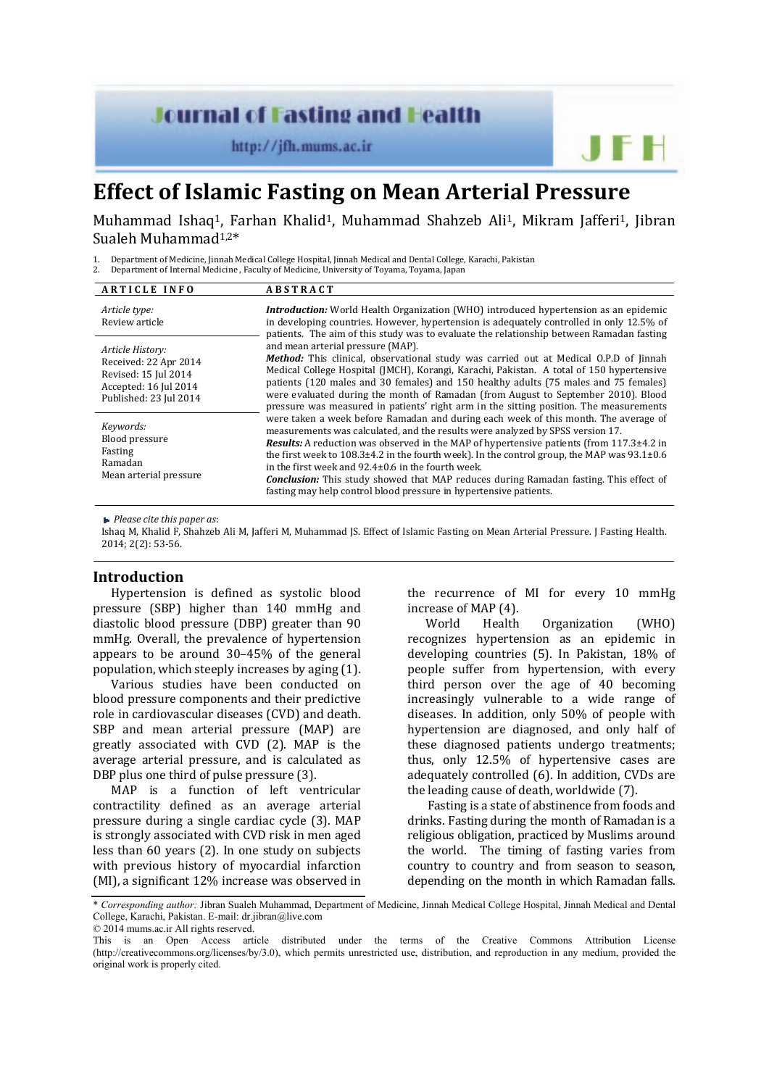# **Journal of Fasting and Health**

http://jfh.mums.ac.ir

# **Effect of Islamic Fasting on Mean Arterial Pressure**

Muhammad Ishaq<sup>1</sup>, Farhan Khalid<sup>1</sup>, Muhammad Shahzeb Ali<sup>1</sup>, Mikram Jafferi<sup>1</sup>, Jibran Sualeh Muhammad<sup>1,2\*</sup>

1. Department of Medicine, Jinnah Medical College Hospital, Jinnah Medical and Dental College, Karachi, Pakistan

2. Department of Internal Medicine, Faculty of Medicine, University of Toyama, Toyama, Japan

| <b>ARTICLE INFO</b>                                                                                                  | <b>ABSTRACT</b>                                                                                                                                                                                                                                                                                                                                                                                                                                                                                                                                                                                                |
|----------------------------------------------------------------------------------------------------------------------|----------------------------------------------------------------------------------------------------------------------------------------------------------------------------------------------------------------------------------------------------------------------------------------------------------------------------------------------------------------------------------------------------------------------------------------------------------------------------------------------------------------------------------------------------------------------------------------------------------------|
| Article type:<br>Review article                                                                                      | Introduction: World Health Organization (WHO) introduced hypertension as an epidemic<br>in developing countries. However, hypertension is adequately controlled in only 12.5% of<br>patients. The aim of this study was to evaluate the relationship between Ramadan fasting                                                                                                                                                                                                                                                                                                                                   |
| Article History:<br>Received: 22 Apr 2014<br>Revised: 15 Jul 2014<br>Accepted: 16 Jul 2014<br>Published: 23 Jul 2014 | and mean arterial pressure (MAP).<br><b>Method:</b> This clinical, observational study was carried out at Medical O.P.D of Jinnah<br>Medical College Hospital (JMCH), Korangi, Karachi, Pakistan. A total of 150 hypertensive<br>patients (120 males and 30 females) and 150 healthy adults (75 males and 75 females)<br>were evaluated during the month of Ramadan (from August to September 2010). Blood<br>pressure was measured in patients' right arm in the sitting position. The measurements                                                                                                           |
| Keywords:<br>Blood pressure<br>Fasting<br>Ramadan<br>Mean arterial pressure                                          | were taken a week before Ramadan and during each week of this month. The average of<br>measurements was calculated, and the results were analyzed by SPSS version 17.<br><b>Results:</b> A reduction was observed in the MAP of hypertensive patients (from 117.3±4.2 in<br>the first week to $108.3 \pm 4.2$ in the fourth week). In the control group, the MAP was 93.1 $\pm$ 0.6<br>in the first week and 92.4±0.6 in the fourth week.<br><b>Conclusion:</b> This study showed that MAP reduces during Ramadan fasting. This effect of<br>fasting may help control blood pressure in hypertensive patients. |

*Please cite this paper as*: 

Ishaq M, Khalid F, Shahzeb Ali M, Jafferi M, Muhammad JS. Effect of Islamic Fasting on Mean Arterial Pressure. J Fasting Health. 2014; 2(2): 53-56.

# **Introduction**

Hypertension is defined as systolic blood pressure (SBP) higher than 140 mmHg and diastolic blood pressure (DBP) greater than 90 mmHg. Overall, the prevalence of hypertension appears to be around  $30-45%$  of the general population, which steeply increases by aging (1).

Various studies have been conducted on blood pressure components and their predictive role in cardiovascular diseases (CVD) and death. SBP and mean arterial pressure (MAP) are greatly associated with  $CVD$  (2). MAP is the average arterial pressure, and is calculated as DBP plus one third of pulse pressure (3).

MAP is a function of left ventricular contractility defined as an average arterial pressure during a single cardiac cycle (3). MAP is strongly associated with CVD risk in men aged less than  $60$  years  $(2)$ . In one study on subjects with previous history of myocardial infarction (MI), a significant 12% increase was observed in the recurrence of MI for every 10 mmHg increase of MAP (4).

JFH

World Health Organization (WHO) recognizes hypertension as an epidemic in developing countries (5). In Pakistan, 18% of people suffer from hypertension, with every third person over the age of  $40$  becoming increasingly vulnerable to a wide range of diseases. In addition, only 50% of people with hypertension are diagnosed, and only half of these diagnosed patients undergo treatments; thus, only 12.5% of hypertensive cases are adequately controlled (6). In addition, CVDs are the leading cause of death, worldwide (7).

Fasting is a state of abstinence from foods and drinks. Fasting during the month of Ramadan is a religious obligation, practiced by Muslims around the world. The timing of fasting varies from country to country and from season to season, depending on the month in which Ramadan falls.

\* *Corresponding author:* Jibran Sualeh Muhammad, Department of Medicine, Jinnah Medical College Hospital, Jinnah Medical and Dental College, Karachi, Pakistan. E-mail: dr.jibran@live.com

© 2014 mums.ac.ir All rights reserved.

This is an Open Access article distributed under the terms of the Creative Commons Attribution License (http://creativecommons.org/licenses/by/3.0), which permits unrestricted use, distribution, and reproduction in any medium, provided the original work is properly cited.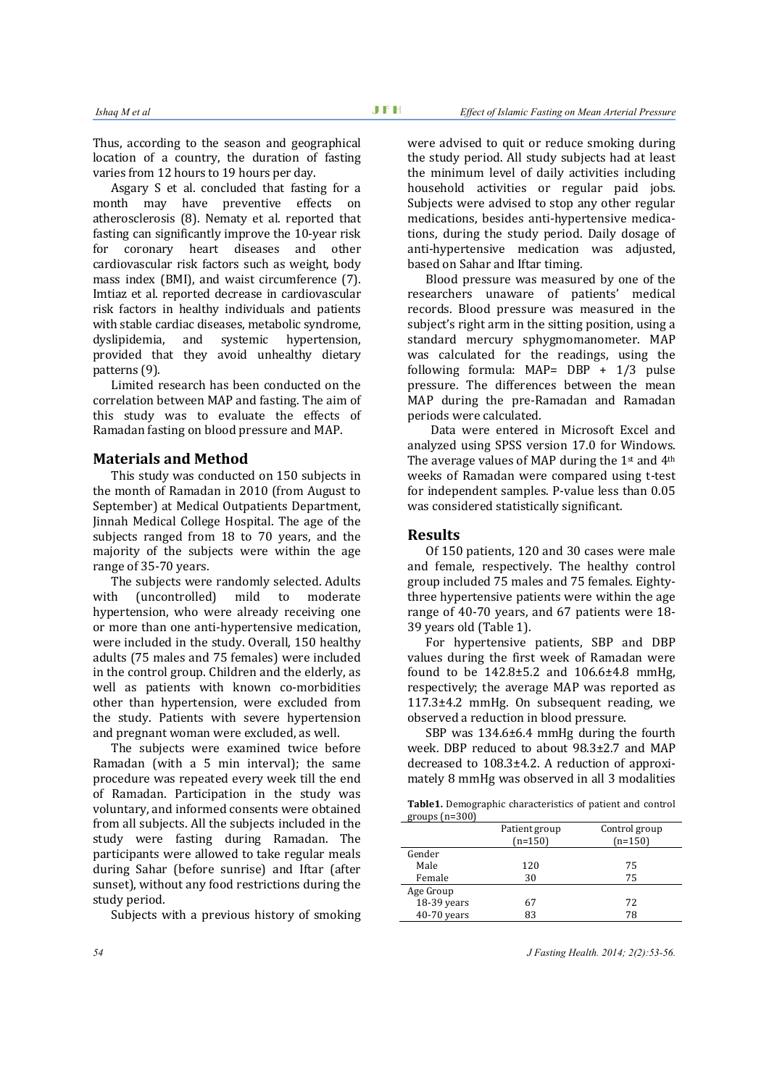Thus, according to the season and geographical location of a country, the duration of fasting varies from 12 hours to 19 hours per day.

Asgary S et al. concluded that fasting for a month may have preventive effects on atherosclerosis (8). Nematy et al. reported that fasting can significantly improve the 10-year risk for coronary heart diseases and other cardiovascular risk factors such as weight, body mass index (BMI), and waist circumference (7). Imtiaz et al. reported decrease in cardiovascular risk factors in healthy individuals and patients with stable cardiac diseases, metabolic syndrome, dyslipidemia, and systemic hypertension, provided that they avoid unhealthy dietary patterns (9).

Limited research has been conducted on the correlation between MAP and fasting. The aim of this study was to evaluate the effects of Ramadan fasting on blood pressure and MAP.

#### **Materials and Method**

This study was conducted on 150 subjects in the month of Ramadan in 2010 (from August to September) at Medical Outpatients Department, Jinnah Medical College Hospital. The age of the subjects ranged from 18 to 70 years, and the majority of the subjects were within the age range of 35-70 years.

The subjects were randomly selected. Adults with (uncontrolled) mild to moderate hypertension, who were already receiving one or more than one anti-hypertensive medication, were included in the study. Overall, 150 healthy adults (75 males and 75 females) were included in the control group. Children and the elderly, as well as patients with known co-morbidities other than hypertension, were excluded from the study. Patients with severe hypertension and pregnant woman were excluded, as well.

The subjects were examined twice before Ramadan (with a  $5$  min interval); the same procedure was repeated every week till the end of Ramadan. Participation in the study was voluntary, and informed consents were obtained from all subjects. All the subjects included in the study were fasting during Ramadan. The participants were allowed to take regular meals during Sahar (before sunrise) and Iftar (after sunset), without any food restrictions during the study period.

Subjects with a previous history of smoking

were advised to quit or reduce smoking during the study period. All study subjects had at least the minimum level of daily activities including household activities or regular paid jobs. Subiects were advised to stop any other regular medications, besides anti-hypertensive medications, during the study period. Daily dosage of anti-hypertensive medication was adjusted, based on Sahar and Iftar timing.

Blood pressure was measured by one of the researchers unaware of patients' medical records. Blood pressure was measured in the subject's right arm in the sitting position, using a standard mercury sphygmomanometer. MAP was calculated for the readings, using the following formula:  $MAP = DBP + 1/3$  pulse pressure. The differences between the mean MAP during the pre-Ramadan and Ramadan periods were calculated.

Data were entered in Microsoft Excel and analyzed using SPSS version 17.0 for Windows. The average values of MAP during the  $1<sup>st</sup>$  and  $4<sup>th</sup>$ weeks of Ramadan were compared using t-test for independent samples. P-value less than 0.05 was considered statistically significant.

# **Results**

Of 150 patients, 120 and 30 cases were male and female, respectively. The healthy control group included 75 males and 75 females. Eightythree hypertensive patients were within the age range of  $40-70$  years, and  $67$  patients were  $18-$ 39 years old (Table 1).

For hypertensive patients, SBP and DBP values during the first week of Ramadan were found to be  $142.8 \pm 5.2$  and  $106.6 \pm 4.8$  mmHg, respectively; the average MAP was reported as  $117.3\pm4.2$  mmHg. On subsequent reading, we observed a reduction in blood pressure.

SBP was  $134.6\pm6.4$  mmHg during the fourth week. DBP reduced to about 98.3±2.7 and MAP decreased to  $108.3\pm4.2$ . A reduction of approximately 8 mmHg was observed in all 3 modalities

Table1. Demographic characteristics of patient and control  $groups$   $(n=300)$ 

|             | Patient group<br>$(n=150)$ | Control group<br>$(n=150)$ |
|-------------|----------------------------|----------------------------|
| Gender      |                            |                            |
|             |                            |                            |
| Male        | 120                        | 75                         |
| Female      | 30                         | 75                         |
| Age Group   |                            |                            |
| 18-39 years | 67                         | 72                         |
| 40-70 years | 83                         | 78                         |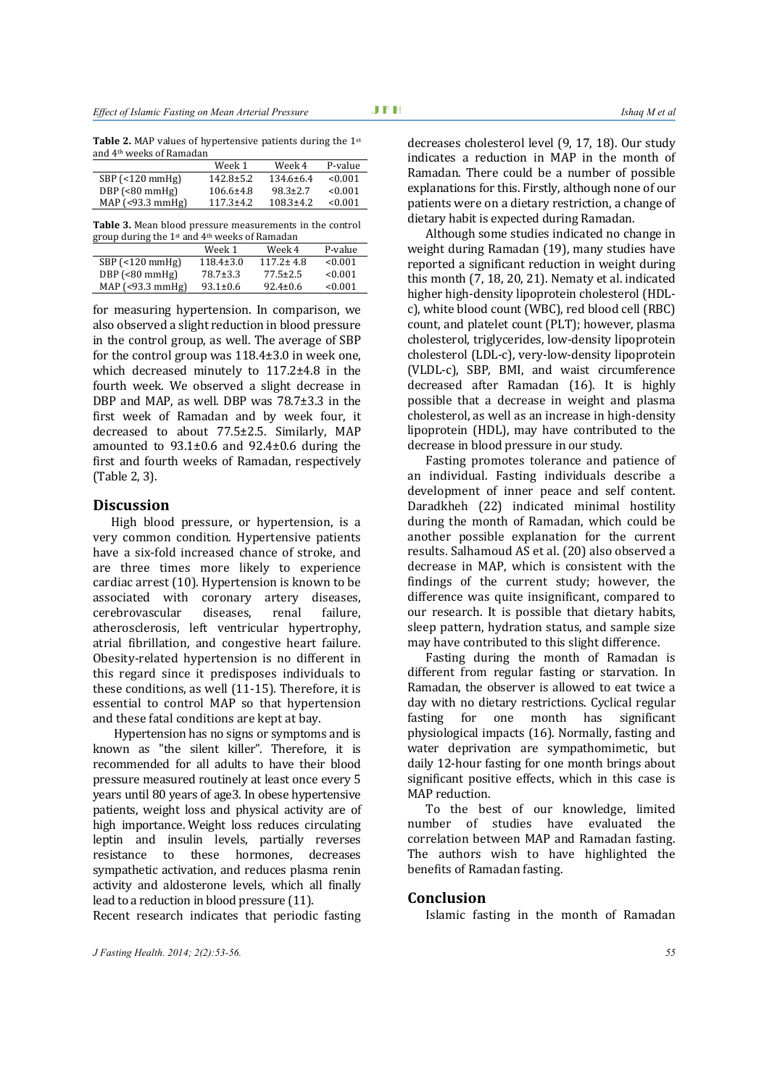| Week 1          | Week 4          | P-value |
|-----------------|-----------------|---------|
| $142.8 \pm 5.2$ | $134.6 \pm 6.4$ | < 0.001 |
| $106.6 \pm 4.8$ | $98.3 \pm 2.7$  | < 0.001 |
| $117.3 + 4.2$   | $108.3 \pm 4.2$ | < 0.001 |
|                 |                 |         |

**Table 3.** Mean blood pressure measurements in the control group during the 1<sup>st</sup> and 4<sup>th</sup> weeks of Ramadan

|                        | Week 1          | Week 4          | P-value |
|------------------------|-----------------|-----------------|---------|
| $SBP$ (<120 mmHg)      | $118.4 \pm 3.0$ | $117.2 \pm 4.8$ | <0.001  |
| $DBP$ (<80 mmHg)       | $78.7 \pm 3.3$  | $77.5 \pm 2.5$  | <0.001  |
| MAP $($ <93.3 mmHg $)$ | $93.1 \pm 0.6$  | $92.4 \pm 0.6$  | <0.001  |

for measuring hypertension. In comparison, we also observed a slight reduction in blood pressure in the control group, as well. The average of SBP for the control group was  $118.4\pm3.0$  in week one, which decreased minutely to  $117.2\pm4.8$  in the fourth week. We observed a slight decrease in DBP and MAP, as well. DBP was  $78.7\pm3.3$  in the first week of Ramadan and by week four, it decreased to about  $77.5\pm2.5$ . Similarly, MAP amounted to  $93.1\pm0.6$  and  $92.4\pm0.6$  during the first and fourth weeks of Ramadan, respectively (Table 2, 3).

### **Discussion**

High blood pressure, or hypertension, is a very common condition. Hypertensive patients have a six-fold increased chance of stroke, and are three times more likely to experience cardiac arrest  $(10)$ . Hypertension is known to be associated with coronary artery diseases, cerebrovascular diseases, renal failure, atherosclerosis, left ventricular hypertrophy, atrial fibrillation, and congestive heart failure. Obesity-related hypertension is no different in this regard since it predisposes individuals to these conditions, as well  $(11-15)$ . Therefore, it is essential to control MAP so that hypertension and these fatal conditions are kept at bay.

Hypertension has no signs or symptoms and is known as "the silent killer". Therefore, it is recommended for all adults to have their blood pressure measured routinely at least once every 5 years until 80 years of age3. In obese hypertensive patients, weight loss and physical activity are of high importance. Weight loss reduces circulating leptin and insulin levels, partially reverses resistance to these hormones, decreases sympathetic activation, and reduces plasma renin activity and aldosterone levels, which all finally lead to a reduction in blood pressure (11).

Recent research indicates that periodic fasting

decreases cholesterol level (9, 17, 18). Our study indicates a reduction in MAP in the month of Ramadan. There could be a number of possible explanations for this. Firstly, although none of our patients were on a dietary restriction, a change of dietary habit is expected during Ramadan.

Although some studies indicated no change in weight during Ramadan (19), many studies have reported a significant reduction in weight during this month (7, 18, 20, 21). Nematy et al. indicated higher high-density lipoprotein cholesterol (HDLc), white blood count (WBC), red blood cell (RBC) count, and platelet count (PLT); however, plasma cholesterol, triglycerides, low-density lipoprotein cholesterol (LDL-c), very-low-density lipoprotein (VLDL-c), SBP, BMI, and waist circumference decreased after Ramadan (16). It is highly possible that a decrease in weight and plasma cholesterol, as well as an increase in high-density lipoprotein (HDL), may have contributed to the decrease in blood pressure in our study.

Fasting promotes tolerance and patience of an individual. Fasting individuals describe a development of inner peace and self content. Daradkheh (22) indicated minimal hostility during the month of Ramadan, which could be another possible explanation for the current results. Salhamoud AS et al. (20) also observed a decrease in MAP, which is consistent with the findings of the current study; however, the difference was quite insignificant, compared to our research. It is possible that dietary habits, sleep pattern, hydration status, and sample size may have contributed to this slight difference.

Fasting during the month of Ramadan is different from regular fasting or starvation. In Ramadan, the observer is allowed to eat twice a day with no dietary restrictions. Cyclical regular fasting for one month has significant physiological impacts (16). Normally, fasting and water deprivation are sympathomimetic, but daily 12-hour fasting for one month brings about significant positive effects, which in this case is MAP reduction.

To the best of our knowledge, limited number of studies have evaluated the correlation between MAP and Ramadan fasting. The authors wish to have highlighted the benefits of Ramadan fasting.

### **Conclusion**

Islamic fasting in the month of Ramadan